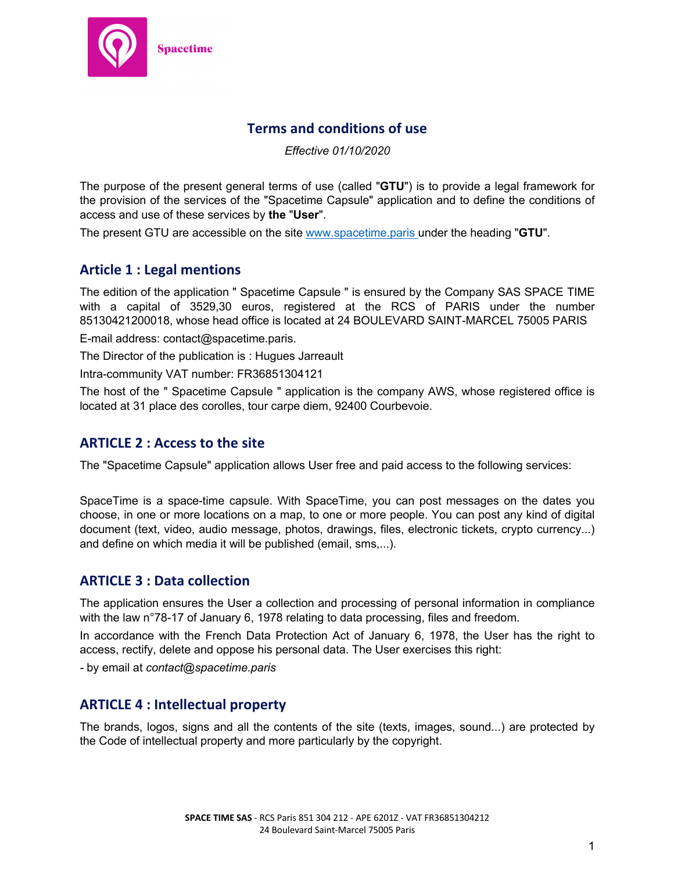

# **Terms and conditions of use**

*Effective 01/10/2020*

The purpose of the present general terms of use (called "**GTU**") is to provide a legal framework for the provision of the services of the "Spacetime Capsule" application and to define the conditions of access and use of these services by **the** "**User**".

The present GTU are accessible on the site www.spacetime.paris under the heading "**GTU**".

## **Article 1 : Legal mentions**

The edition of the application " Spacetime Capsule " is ensured by the Company SAS SPACE TIME with a capital of 3529,30 euros, registered at the RCS of PARIS under the number 85130421200018, whose head office is located at 24 BOULEVARD SAINT-MARCEL 75005 PARIS

E-mail address: contact@spacetime.paris.

The Director of the publication is : Hugues Jarreault

Intra-community VAT number: FR36851304121

The host of the " Spacetime Capsule " application is the company AWS, whose registered office is located at 31 place des corolles, tour carpe diem, 92400 Courbevoie.

### **ARTICLE 2 : Access to the site**

The "Spacetime Capsule" application allows User free and paid access to the following services:

SpaceTime is a space-time capsule. With SpaceTime, you can post messages on the dates you choose, in one or more locations on a map, to one or more people. You can post any kind of digital document (text, video, audio message, photos, drawings, files, electronic tickets, crypto currency...) and define on which media it will be published (email, sms,...).

### **ARTICLE 3 : Data collection**

The application ensures the User a collection and processing of personal information in compliance with the law n°78-17 of January 6, 1978 relating to data processing, files and freedom.

In accordance with the French Data Protection Act of January 6, 1978, the User has the right to access, rectify, delete and oppose his personal data. The User exercises this right:

*-* by email at *contact@spacetime.paris*

### **ARTICLE 4 : Intellectual property**

The brands, logos, signs and all the contents of the site (texts, images, sound...) are protected by the Code of intellectual property and more particularly by the copyright.